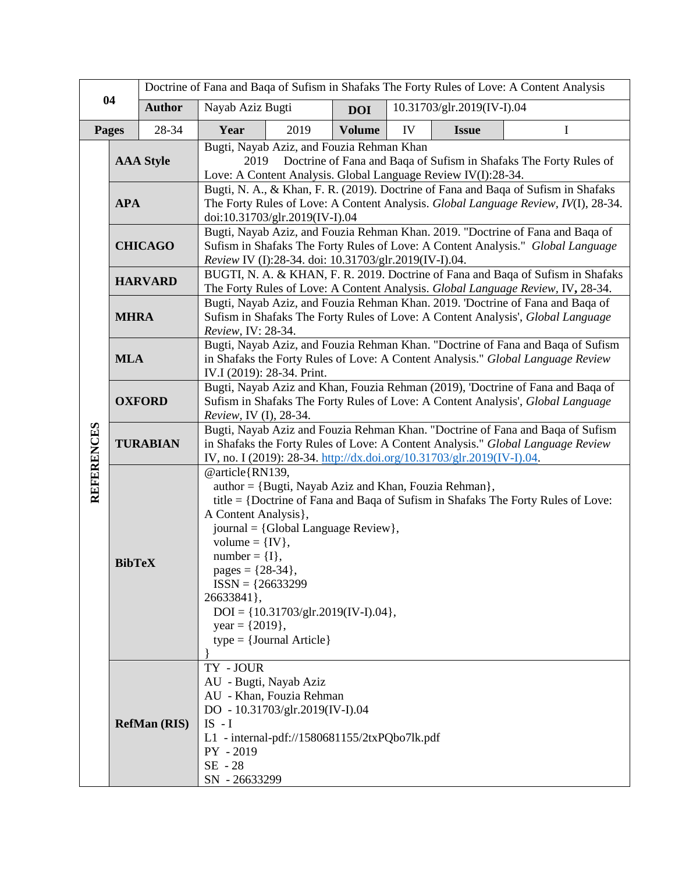| 04                |                                                                                                                                                                                                                                                                                                                                                                                                                                                      | Doctrine of Fana and Baqa of Sufism in Shafaks The Forty Rules of Love: A Content Analysis                                                                                                                                      |                                                                                                                                                                                                                                             |      |               |                            |              |   |  |
|-------------------|------------------------------------------------------------------------------------------------------------------------------------------------------------------------------------------------------------------------------------------------------------------------------------------------------------------------------------------------------------------------------------------------------------------------------------------------------|---------------------------------------------------------------------------------------------------------------------------------------------------------------------------------------------------------------------------------|---------------------------------------------------------------------------------------------------------------------------------------------------------------------------------------------------------------------------------------------|------|---------------|----------------------------|--------------|---|--|
|                   |                                                                                                                                                                                                                                                                                                                                                                                                                                                      | <b>Author</b>                                                                                                                                                                                                                   | Nayab Aziz Bugti                                                                                                                                                                                                                            |      | <b>DOI</b>    | 10.31703/glr.2019(IV-I).04 |              |   |  |
| Pages             |                                                                                                                                                                                                                                                                                                                                                                                                                                                      | 28-34                                                                                                                                                                                                                           | Year                                                                                                                                                                                                                                        | 2019 | <b>Volume</b> | IV                         | <b>Issue</b> | I |  |
|                   | <b>AAA Style</b>                                                                                                                                                                                                                                                                                                                                                                                                                                     |                                                                                                                                                                                                                                 | Bugti, Nayab Aziz, and Fouzia Rehman Khan<br>Doctrine of Fana and Baqa of Sufism in Shafaks The Forty Rules of<br>2019<br>Love: A Content Analysis. Global Language Review IV(I):28-34.                                                     |      |               |                            |              |   |  |
|                   | <b>APA</b>                                                                                                                                                                                                                                                                                                                                                                                                                                           |                                                                                                                                                                                                                                 | Bugti, N. A., & Khan, F. R. (2019). Doctrine of Fana and Baqa of Sufism in Shafaks<br>The Forty Rules of Love: A Content Analysis. Global Language Review, IV(I), 28-34.<br>doi:10.31703/glr.2019(IV-I).04                                  |      |               |                            |              |   |  |
|                   | <b>CHICAGO</b>                                                                                                                                                                                                                                                                                                                                                                                                                                       |                                                                                                                                                                                                                                 | Bugti, Nayab Aziz, and Fouzia Rehman Khan. 2019. "Doctrine of Fana and Baqa of<br>Sufism in Shafaks The Forty Rules of Love: A Content Analysis." Global Language<br>Review IV (I):28-34. doi: 10.31703/glr.2019(IV-I).04.                  |      |               |                            |              |   |  |
|                   | <b>HARVARD</b>                                                                                                                                                                                                                                                                                                                                                                                                                                       |                                                                                                                                                                                                                                 | BUGTI, N. A. & KHAN, F. R. 2019. Doctrine of Fana and Baqa of Sufism in Shafaks<br>The Forty Rules of Love: A Content Analysis. Global Language Review, IV, 28-34.                                                                          |      |               |                            |              |   |  |
| <b>REFERENCES</b> | <b>MHRA</b>                                                                                                                                                                                                                                                                                                                                                                                                                                          |                                                                                                                                                                                                                                 | Bugti, Nayab Aziz, and Fouzia Rehman Khan. 2019. 'Doctrine of Fana and Baqa of<br>Sufism in Shafaks The Forty Rules of Love: A Content Analysis', Global Language<br>Review, IV: 28-34.                                                     |      |               |                            |              |   |  |
|                   | <b>MLA</b>                                                                                                                                                                                                                                                                                                                                                                                                                                           |                                                                                                                                                                                                                                 | Bugti, Nayab Aziz, and Fouzia Rehman Khan. "Doctrine of Fana and Baqa of Sufism<br>in Shafaks the Forty Rules of Love: A Content Analysis." Global Language Review<br>IV.I (2019): 28-34. Print.                                            |      |               |                            |              |   |  |
|                   | <b>OXFORD</b>                                                                                                                                                                                                                                                                                                                                                                                                                                        |                                                                                                                                                                                                                                 | Bugti, Nayab Aziz and Khan, Fouzia Rehman (2019), 'Doctrine of Fana and Baqa of<br>Sufism in Shafaks The Forty Rules of Love: A Content Analysis', Global Language<br>Review, IV (I), 28-34.                                                |      |               |                            |              |   |  |
|                   | <b>TURABIAN</b>                                                                                                                                                                                                                                                                                                                                                                                                                                      |                                                                                                                                                                                                                                 | Bugti, Nayab Aziz and Fouzia Rehman Khan. "Doctrine of Fana and Baqa of Sufism<br>in Shafaks the Forty Rules of Love: A Content Analysis." Global Language Review<br>IV, no. I (2019): 28-34. http://dx.doi.org/10.31703/glr.2019(IV-I).04. |      |               |                            |              |   |  |
|                   | @article{RN139,<br>author = {Bugti, Nayab Aziz and Khan, Fouzia Rehman},<br>title = {Doctrine of Fana and Baqa of Sufism in Shafaks The Forty Rules of Love:<br>A Content Analysis},<br>journal = {Global Language Review},<br>volume = $\{IV\},\$<br>$number = \{I\},\$<br><b>BibTeX</b><br>pages = ${28-34}$<br>$ISSN = {26633299}$<br>26633841},<br>$DOI = \{10.31703/glr.2019(IV-I).04\},\$<br>year = $\{2019\}$ ,<br>$type = {Journal Article}$ |                                                                                                                                                                                                                                 |                                                                                                                                                                                                                                             |      |               |                            |              |   |  |
|                   |                                                                                                                                                                                                                                                                                                                                                                                                                                                      | TY - JOUR<br>AU - Bugti, Nayab Aziz<br>AU - Khan, Fouzia Rehman<br>DO - 10.31703/glr.2019(IV-I).04<br>$IS - I$<br><b>RefMan (RIS)</b><br>L1 - internal-pdf://1580681155/2txPQbo7lk.pdf<br>PY - 2019<br>SE - 28<br>SN - 26633299 |                                                                                                                                                                                                                                             |      |               |                            |              |   |  |